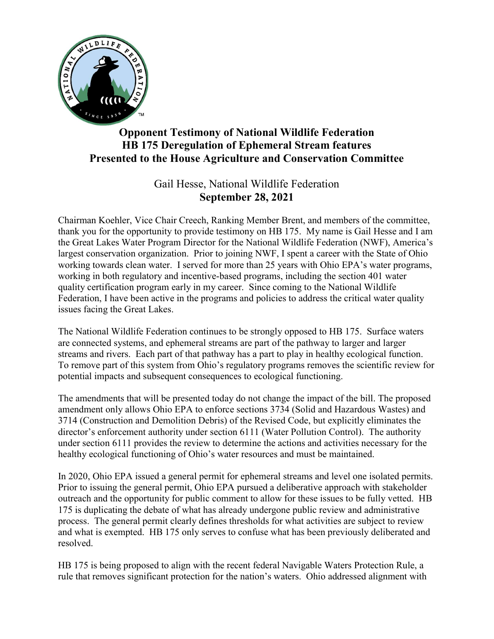

## Opponent Testimony of National Wildlife Federation HB 175 Deregulation of Ephemeral Stream features Presented to the House Agriculture and Conservation Committee

## Gail Hesse, National Wildlife Federation September 28, 2021

Chairman Koehler, Vice Chair Creech, Ranking Member Brent, and members of the committee, thank you for the opportunity to provide testimony on HB 175. My name is Gail Hesse and I am the Great Lakes Water Program Director for the National Wildlife Federation (NWF), America's largest conservation organization. Prior to joining NWF, I spent a career with the State of Ohio working towards clean water. I served for more than 25 years with Ohio EPA's water programs, working in both regulatory and incentive-based programs, including the section 401 water quality certification program early in my career. Since coming to the National Wildlife Federation, I have been active in the programs and policies to address the critical water quality issues facing the Great Lakes.

The National Wildlife Federation continues to be strongly opposed to HB 175. Surface waters are connected systems, and ephemeral streams are part of the pathway to larger and larger streams and rivers. Each part of that pathway has a part to play in healthy ecological function. To remove part of this system from Ohio's regulatory programs removes the scientific review for potential impacts and subsequent consequences to ecological functioning.

The amendments that will be presented today do not change the impact of the bill. The proposed amendment only allows Ohio EPA to enforce sections 3734 (Solid and Hazardous Wastes) and 3714 (Construction and Demolition Debris) of the Revised Code, but explicitly eliminates the director's enforcement authority under section 6111 (Water Pollution Control). The authority under section 6111 provides the review to determine the actions and activities necessary for the healthy ecological functioning of Ohio's water resources and must be maintained.

In 2020, Ohio EPA issued a general permit for ephemeral streams and level one isolated permits. Prior to issuing the general permit, Ohio EPA pursued a deliberative approach with stakeholder outreach and the opportunity for public comment to allow for these issues to be fully vetted. HB 175 is duplicating the debate of what has already undergone public review and administrative process. The general permit clearly defines thresholds for what activities are subject to review and what is exempted. HB 175 only serves to confuse what has been previously deliberated and resolved.

HB 175 is being proposed to align with the recent federal Navigable Waters Protection Rule, a rule that removes significant protection for the nation's waters. Ohio addressed alignment with